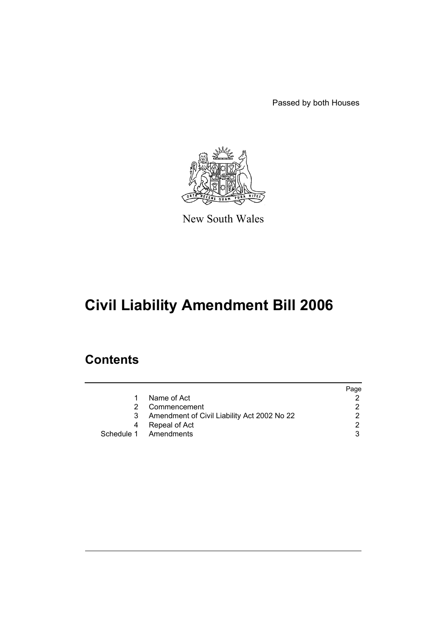Passed by both Houses



New South Wales

# **Civil Liability Amendment Bill 2006**

## **Contents**

|    |                                             | Page |
|----|---------------------------------------------|------|
| 1. | Name of Act                                 |      |
|    | Commencement                                |      |
|    | Amendment of Civil Liability Act 2002 No 22 |      |
|    | Repeal of Act                               |      |
|    | Schedule 1 Amendments                       |      |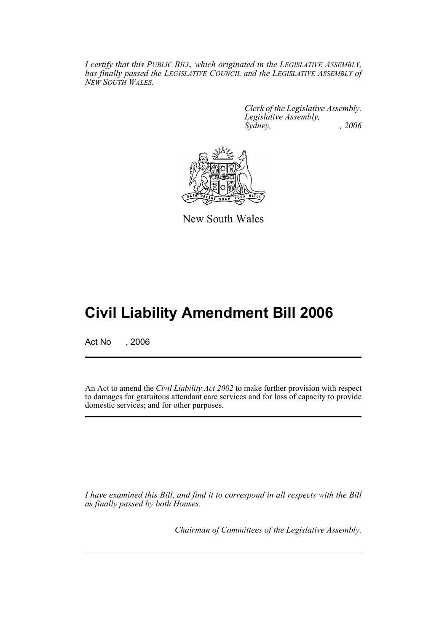*I certify that this PUBLIC BILL, which originated in the LEGISLATIVE ASSEMBLY, has finally passed the LEGISLATIVE COUNCIL and the LEGISLATIVE ASSEMBLY of NEW SOUTH WALES.*

> *Clerk of the Legislative Assembly. Legislative Assembly, Sydney, , 2006*



New South Wales

## **Civil Liability Amendment Bill 2006**

Act No , 2006

An Act to amend the *Civil Liability Act 2002* to make further provision with respect to damages for gratuitous attendant care services and for loss of capacity to provide domestic services; and for other purposes.

*I have examined this Bill, and find it to correspond in all respects with the Bill as finally passed by both Houses.*

*Chairman of Committees of the Legislative Assembly.*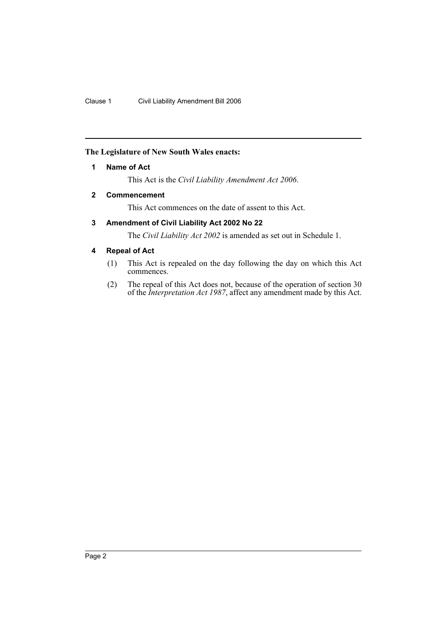## <span id="page-2-0"></span>**The Legislature of New South Wales enacts:**

## **1 Name of Act**

This Act is the *Civil Liability Amendment Act 2006*.

## <span id="page-2-1"></span>**2 Commencement**

This Act commences on the date of assent to this Act.

## <span id="page-2-2"></span>**3 Amendment of Civil Liability Act 2002 No 22**

The *Civil Liability Act 2002* is amended as set out in Schedule 1.

## <span id="page-2-3"></span>**4 Repeal of Act**

- (1) This Act is repealed on the day following the day on which this Act commences.
- (2) The repeal of this Act does not, because of the operation of section 30 of the *Interpretation Act 1987*, affect any amendment made by this Act.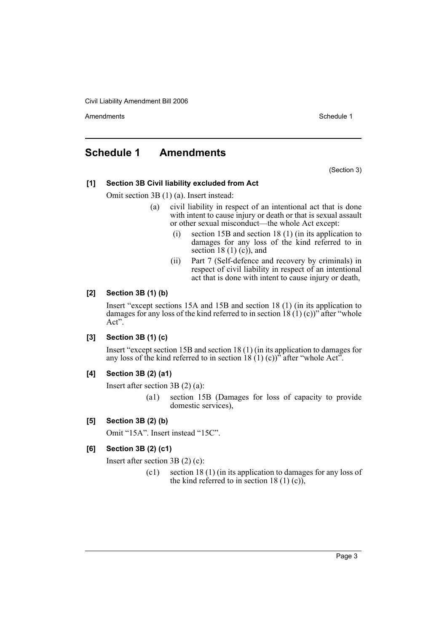Amendments **Schedule 1** and the set of the set of the set of the set of the set of the set of the set of the set of the set of the set of the set of the set of the set of the set of the set of the set of the set of the set

## <span id="page-3-0"></span>**Schedule 1 Amendments**

(Section 3)

## **[1] Section 3B Civil liability excluded from Act**

### Omit section 3B (1) (a). Insert instead:

- (a) civil liability in respect of an intentional act that is done with intent to cause injury or death or that is sexual assault or other sexual misconduct—the whole Act except:
	- (i) section 15B and section 18 (1) (in its application to damages for any loss of the kind referred to in section 18 $(1)$  $(c)$ , and
	- (ii) Part 7 (Self-defence and recovery by criminals) in respect of civil liability in respect of an intentional act that is done with intent to cause injury or death,

### **[2] Section 3B (1) (b)**

Insert "except sections 15A and 15B and section 18 (1) (in its application to damages for any loss of the kind referred to in section  $18(1)(c)$ " after "whole Act".

## **[3] Section 3B (1) (c)**

Insert "except section 15B and section 18 (1) (in its application to damages for any loss of the kind referred to in section  $18(1)(c)$ <sup>3</sup> after "whole Act".

## **[4] Section 3B (2) (a1)**

Insert after section 3B (2) (a):

(a1) section 15B (Damages for loss of capacity to provide domestic services),

## **[5] Section 3B (2) (b)**

Omit "15A". Insert instead "15C".

## **[6] Section 3B (2) (c1)**

Insert after section 3B (2) (c):

(c1) section 18 (1) (in its application to damages for any loss of the kind referred to in section 18 (1) (c)),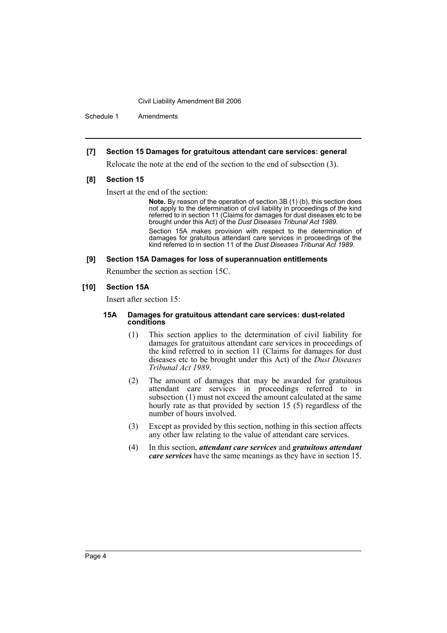Schedule 1 Amendments

#### **[7] Section 15 Damages for gratuitous attendant care services: general**

Relocate the note at the end of the section to the end of subsection (3).

#### **[8] Section 15**

Insert at the end of the section:

**Note.** By reason of the operation of section 3B (1) (b), this section does not apply to the determination of civil liability in proceedings of the kind referred to in section 11 (Claims for damages for dust diseases etc to be brought under this Act) of the *Dust Diseases Tribunal Act 1989*.

Section 15A makes provision with respect to the determination of damages for gratuitous attendant care services in proceedings of the kind referred to in section 11 of the *Dust Diseases Tribunal Act 1989*.

#### **[9] Section 15A Damages for loss of superannuation entitlements**

Renumber the section as section 15C.

#### **[10] Section 15A**

Insert after section 15:

#### **15A Damages for gratuitous attendant care services: dust-related conditions**

- (1) This section applies to the determination of civil liability for damages for gratuitous attendant care services in proceedings of the kind referred to in section 11 (Claims for damages for dust diseases etc to be brought under this Act) of the *Dust Diseases Tribunal Act 1989*.
- (2) The amount of damages that may be awarded for gratuitous attendant care services in proceedings referred to in subsection (1) must not exceed the amount calculated at the same hourly rate as that provided by section 15 (5) regardless of the number of hours involved.
- (3) Except as provided by this section, nothing in this section affects any other law relating to the value of attendant care services.
- (4) In this section, *attendant care services* and *gratuitous attendant care services* have the same meanings as they have in section 15.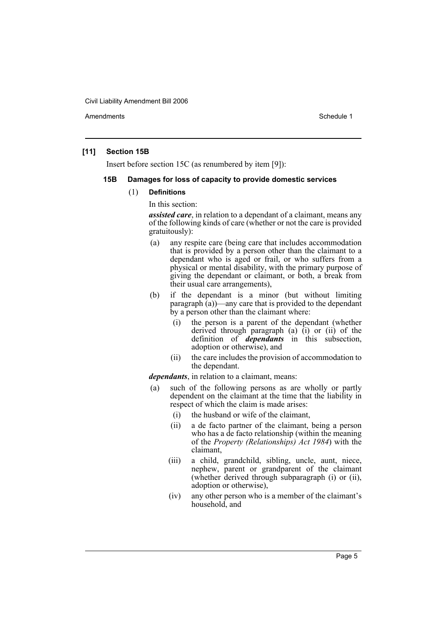Amendments **Amendments** Schedule 1

#### **[11] Section 15B**

Insert before section 15C (as renumbered by item [9]):

#### **15B Damages for loss of capacity to provide domestic services**

#### (1) **Definitions**

In this section:

*assisted care*, in relation to a dependant of a claimant, means any of the following kinds of care (whether or not the care is provided gratuitously):

- (a) any respite care (being care that includes accommodation that is provided by a person other than the claimant to a dependant who is aged or frail, or who suffers from a physical or mental disability, with the primary purpose of giving the dependant or claimant, or both, a break from their usual care arrangements),
- (b) if the dependant is a minor (but without limiting paragraph (a))—any care that is provided to the dependant by a person other than the claimant where:
	- (i) the person is a parent of the dependant (whether derived through paragraph  $(a)$   $(i)$  or  $(ii)$  of the definition of *dependants* in this subsection, adoption or otherwise), and
	- (ii) the care includes the provision of accommodation to the dependant.

*dependants*, in relation to a claimant, means:

- (a) such of the following persons as are wholly or partly dependent on the claimant at the time that the liability in respect of which the claim is made arises:
	- (i) the husband or wife of the claimant,
	- (ii) a de facto partner of the claimant, being a person who has a de facto relationship (within the meaning of the *Property (Relationships) Act 1984*) with the claimant,
	- (iii) a child, grandchild, sibling, uncle, aunt, niece, nephew, parent or grandparent of the claimant (whether derived through subparagraph (i) or (ii), adoption or otherwise),
	- (iv) any other person who is a member of the claimant's household, and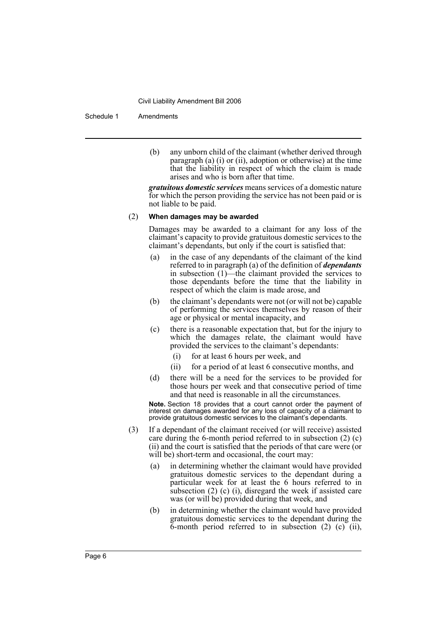Schedule 1 Amendments

(b) any unborn child of the claimant (whether derived through paragraph (a) (i) or (ii), adoption or otherwise) at the time that the liability in respect of which the claim is made arises and who is born after that time.

*gratuitous domestic services* means services of a domestic nature for which the person providing the service has not been paid or is not liable to be paid.

#### (2) **When damages may be awarded**

Damages may be awarded to a claimant for any loss of the claimant's capacity to provide gratuitous domestic services to the claimant's dependants, but only if the court is satisfied that:

- (a) in the case of any dependants of the claimant of the kind referred to in paragraph (a) of the definition of *dependants* in subsection (1)—the claimant provided the services to those dependants before the time that the liability in respect of which the claim is made arose, and
- (b) the claimant's dependants were not (or will not be) capable of performing the services themselves by reason of their age or physical or mental incapacity, and
- (c) there is a reasonable expectation that, but for the injury to which the damages relate, the claimant would have provided the services to the claimant's dependants:
	- (i) for at least 6 hours per week, and
	- (ii) for a period of at least 6 consecutive months, and
- (d) there will be a need for the services to be provided for those hours per week and that consecutive period of time and that need is reasonable in all the circumstances.

**Note.** Section 18 provides that a court cannot order the payment of interest on damages awarded for any loss of capacity of a claimant to provide gratuitous domestic services to the claimant's dependants.

- (3) If a dependant of the claimant received (or will receive) assisted care during the 6-month period referred to in subsection (2) (c) (ii) and the court is satisfied that the periods of that care were (or will be) short-term and occasional, the court may:
	- (a) in determining whether the claimant would have provided gratuitous domestic services to the dependant during a particular week for at least the 6 hours referred to in subsection (2) (c) (i), disregard the week if assisted care was (or will be) provided during that week, and
	- (b) in determining whether the claimant would have provided gratuitous domestic services to the dependant during the 6-month period referred to in subsection (2) (c) (ii),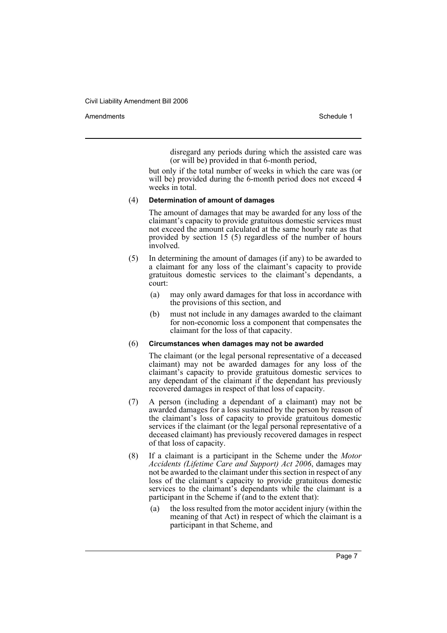Amendments **Amendments** Schedule 1

disregard any periods during which the assisted care was (or will be) provided in that 6-month period,

but only if the total number of weeks in which the care was (or will be) provided during the 6-month period does not exceed 4 weeks in total.

#### (4) **Determination of amount of damages**

The amount of damages that may be awarded for any loss of the claimant's capacity to provide gratuitous domestic services must not exceed the amount calculated at the same hourly rate as that provided by section 15 (5) regardless of the number of hours involved.

- (5) In determining the amount of damages (if any) to be awarded to a claimant for any loss of the claimant's capacity to provide gratuitous domestic services to the claimant's dependants, a court:
	- (a) may only award damages for that loss in accordance with the provisions of this section, and
	- (b) must not include in any damages awarded to the claimant for non-economic loss a component that compensates the claimant for the loss of that capacity.

#### (6) **Circumstances when damages may not be awarded**

The claimant (or the legal personal representative of a deceased claimant) may not be awarded damages for any loss of the claimant's capacity to provide gratuitous domestic services to any dependant of the claimant if the dependant has previously recovered damages in respect of that loss of capacity.

- (7) A person (including a dependant of a claimant) may not be awarded damages for a loss sustained by the person by reason of the claimant's loss of capacity to provide gratuitous domestic services if the claimant (or the legal personal representative of a deceased claimant) has previously recovered damages in respect of that loss of capacity.
- (8) If a claimant is a participant in the Scheme under the *Motor Accidents (Lifetime Care and Support) Act 2006*, damages may not be awarded to the claimant under this section in respect of any loss of the claimant's capacity to provide gratuitous domestic services to the claimant's dependants while the claimant is a participant in the Scheme if (and to the extent that):
	- (a) the loss resulted from the motor accident injury (within the meaning of that Act) in respect of which the claimant is a participant in that Scheme, and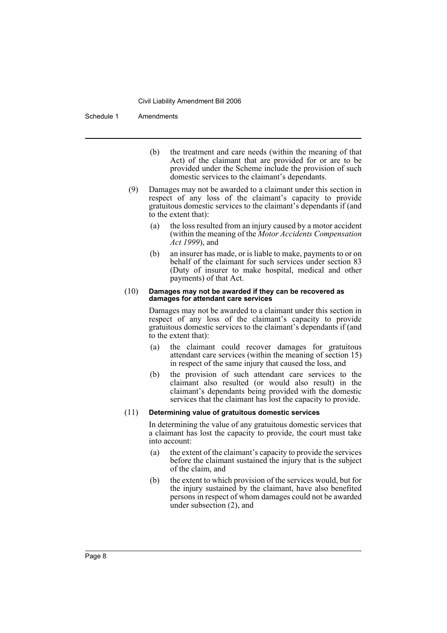Schedule 1 Amendments

- (b) the treatment and care needs (within the meaning of that Act) of the claimant that are provided for or are to be provided under the Scheme include the provision of such domestic services to the claimant's dependants.
- (9) Damages may not be awarded to a claimant under this section in respect of any loss of the claimant's capacity to provide gratuitous domestic services to the claimant's dependants if (and to the extent that):
	- (a) the loss resulted from an injury caused by a motor accident (within the meaning of the *Motor Accidents Compensation Act 1999*), and
	- (b) an insurer has made, or is liable to make, payments to or on behalf of the claimant for such services under section 83 (Duty of insurer to make hospital, medical and other payments) of that Act.

#### (10) **Damages may not be awarded if they can be recovered as damages for attendant care services**

Damages may not be awarded to a claimant under this section in respect of any loss of the claimant's capacity to provide gratuitous domestic services to the claimant's dependants if (and to the extent that):

- (a) the claimant could recover damages for gratuitous attendant care services (within the meaning of section 15) in respect of the same injury that caused the loss, and
- (b) the provision of such attendant care services to the claimant also resulted (or would also result) in the claimant's dependants being provided with the domestic services that the claimant has lost the capacity to provide.

#### (11) **Determining value of gratuitous domestic services**

In determining the value of any gratuitous domestic services that a claimant has lost the capacity to provide, the court must take into account:

- (a) the extent of the claimant's capacity to provide the services before the claimant sustained the injury that is the subject of the claim, and
- (b) the extent to which provision of the services would, but for the injury sustained by the claimant, have also benefited persons in respect of whom damages could not be awarded under subsection (2), and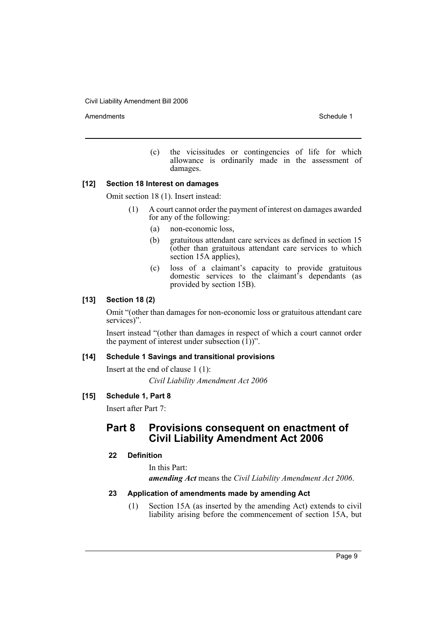Amendments **Schedule 1** and the set of the set of the set of the set of the set of the set of the set of the set of the set of the set of the set of the set of the set of the set of the set of the set of the set of the set

(c) the vicissitudes or contingencies of life for which allowance is ordinarily made in the assessment of damages.

#### **[12] Section 18 Interest on damages**

Omit section 18 (1). Insert instead:

- (1) A court cannot order the payment of interest on damages awarded for any of the following:
	- (a) non-economic loss,
	- (b) gratuitous attendant care services as defined in section 15 (other than gratuitous attendant care services to which section 15A applies),
	- (c) loss of a claimant's capacity to provide gratuitous domestic services to the claimant's dependants (as provided by section 15B).

#### **[13] Section 18 (2)**

Omit "(other than damages for non-economic loss or gratuitous attendant care services)".

Insert instead "(other than damages in respect of which a court cannot order the payment of interest under subsection  $(1)$ )".

#### **[14] Schedule 1 Savings and transitional provisions**

Insert at the end of clause 1 (1): *Civil Liability Amendment Act 2006*

### **[15] Schedule 1, Part 8**

Insert after Part 7:

## **Part 8 Provisions consequent on enactment of Civil Liability Amendment Act 2006**

#### **22 Definition**

In this Part: *amending Act* means the *Civil Liability Amendment Act 2006*.

#### **23 Application of amendments made by amending Act**

(1) Section 15A (as inserted by the amending Act) extends to civil liability arising before the commencement of section 15A, but